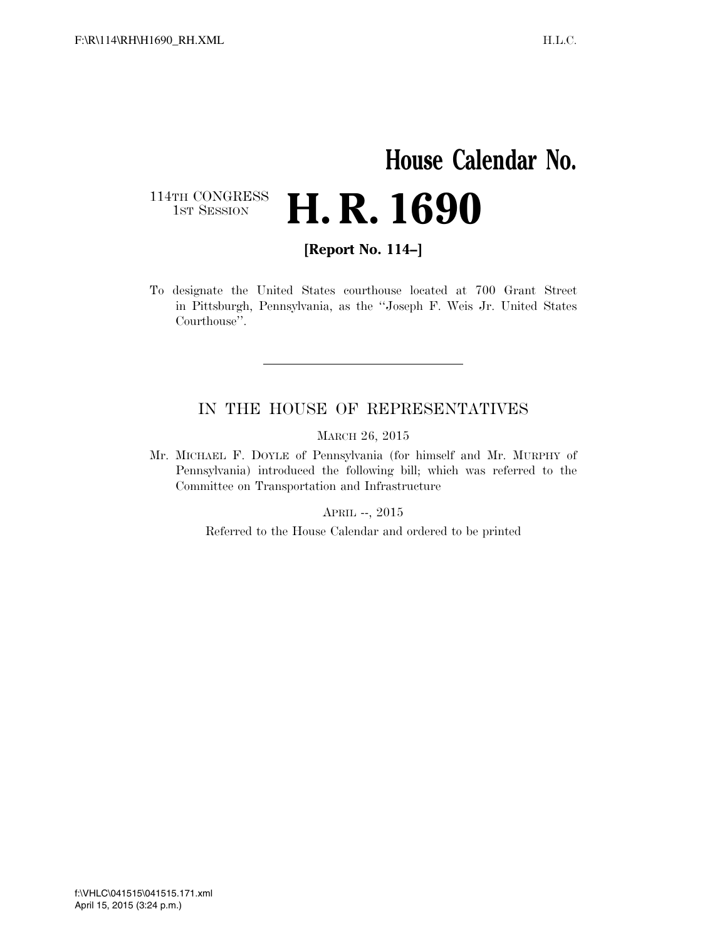## **House Calendar No.**  114TH CONGRESS<br>1st Session **H. R. 1690**

**[Report No. 114–]** 

To designate the United States courthouse located at 700 Grant Street in Pittsburgh, Pennsylvania, as the ''Joseph F. Weis Jr. United States Courthouse''.

#### IN THE HOUSE OF REPRESENTATIVES

MARCH 26, 2015

Mr. MICHAEL F. DOYLE of Pennsylvania (for himself and Mr. MURPHY of Pennsylvania) introduced the following bill; which was referred to the Committee on Transportation and Infrastructure

APRIL --, 2015

Referred to the House Calendar and ordered to be printed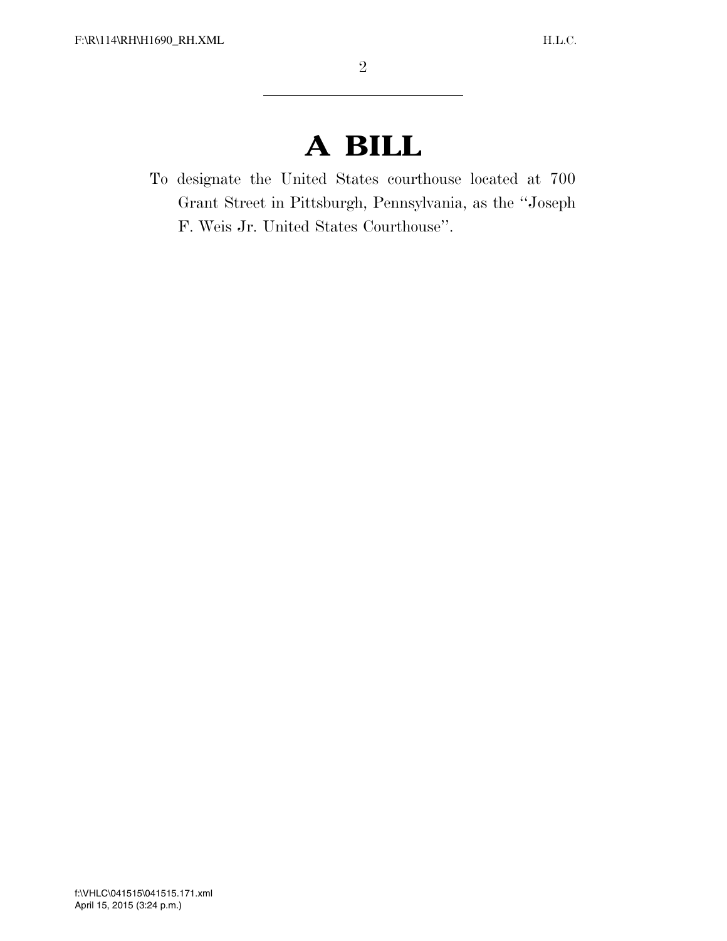# **A BILL**

To designate the United States courthouse located at 700 Grant Street in Pittsburgh, Pennsylvania, as the ''Joseph F. Weis Jr. United States Courthouse''.